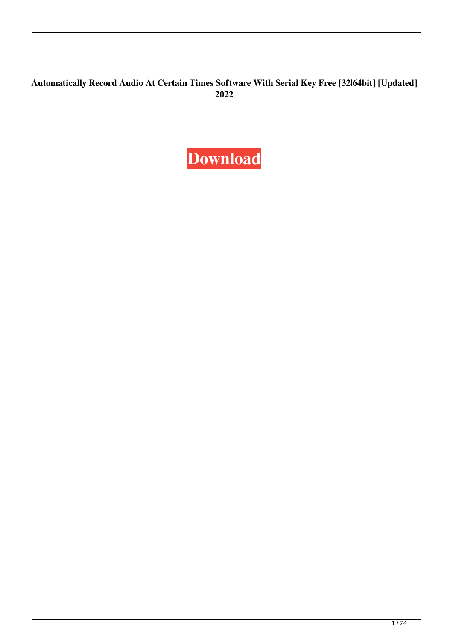#### **Automatically Record Audio At Certain Times Software With Serial Key Free [32|64bit] [Updated] 2022**

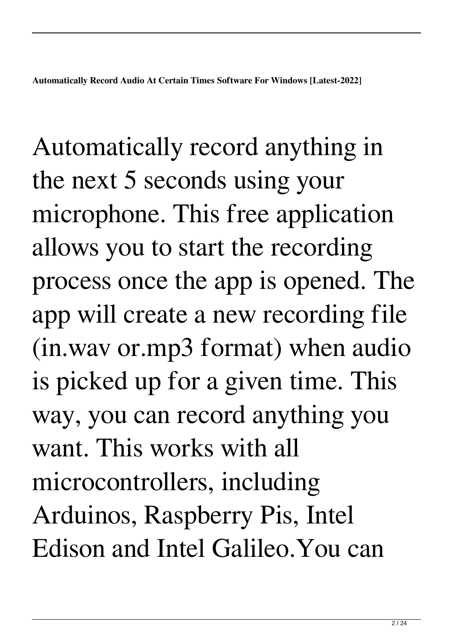Automatically record anything in the next 5 seconds using your microphone. This free application allows you to start the recording process once the app is opened. The app will create a new recording file (in.wav or.mp3 format) when audio is picked up for a given time. This way, you can record anything you want. This works with all microcontrollers, including Arduinos, Raspberry Pis, Intel Edison and Intel Galileo.You can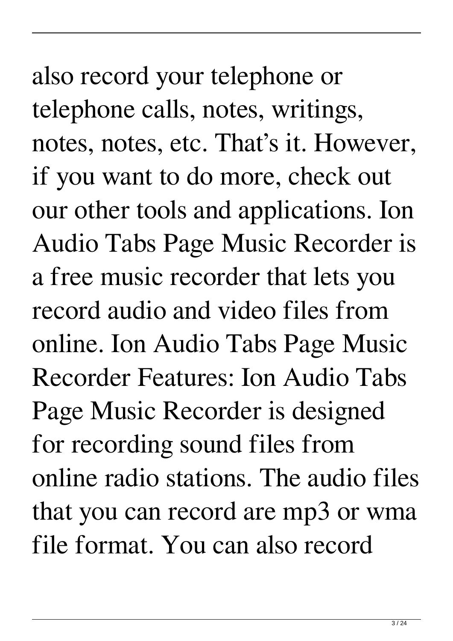also record your telephone or telephone calls, notes, writings, notes, notes, etc. That's it. However, if you want to do more, check out our other tools and applications. Ion Audio Tabs Page Music Recorder is a free music recorder that lets you record audio and video files from online. Ion Audio Tabs Page Music Recorder Features: Ion Audio Tabs Page Music Recorder is designed for recording sound files from online radio stations. The audio files that you can record are mp3 or wma file format. You can also record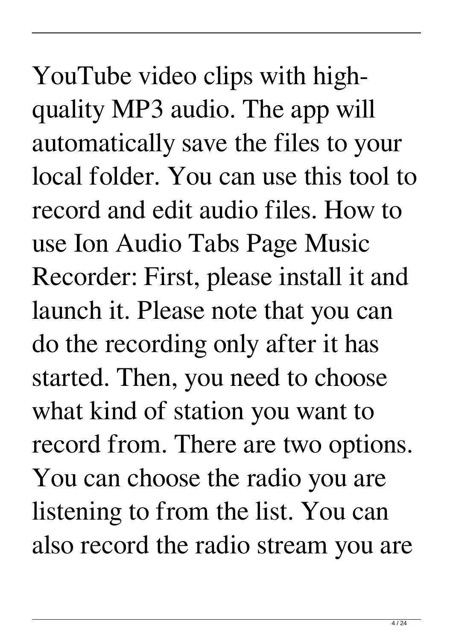YouTube video clips with highquality MP3 audio. The app will automatically save the files to your local folder. You can use this tool to record and edit audio files. How to use Ion Audio Tabs Page Music Recorder: First, please install it and launch it. Please note that you can do the recording only after it has started. Then, you need to choose what kind of station you want to record from. There are two options. You can choose the radio you are listening to from the list. You can also record the radio stream you are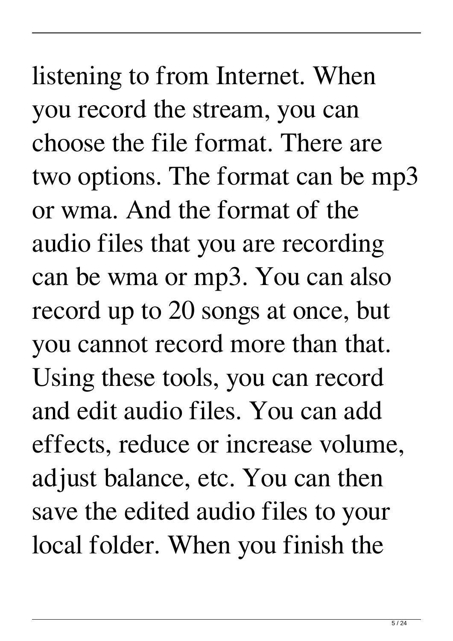listening to from Internet. When you record the stream, you can choose the file format. There are two options. The format can be mp3 or wma. And the format of the audio files that you are recording can be wma or mp3. You can also record up to 20 songs at once, but you cannot record more than that. Using these tools, you can record and edit audio files. You can add effects, reduce or increase volume, adjust balance, etc. You can then save the edited audio files to your local folder. When you finish the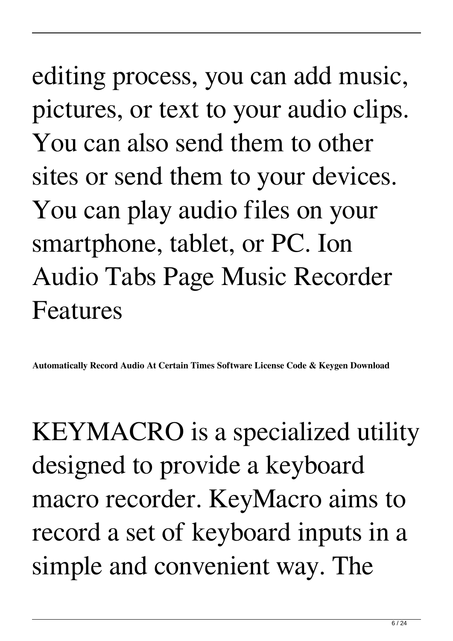## editing process, you can add music, pictures, or text to your audio clips. You can also send them to other sites or send them to your devices. You can play audio files on your smartphone, tablet, or PC. Ion Audio Tabs Page Music Recorder Features

**Automatically Record Audio At Certain Times Software License Code & Keygen Download**

KEYMACRO is a specialized utility designed to provide a keyboard macro recorder. KeyMacro aims to record a set of keyboard inputs in a simple and convenient way. The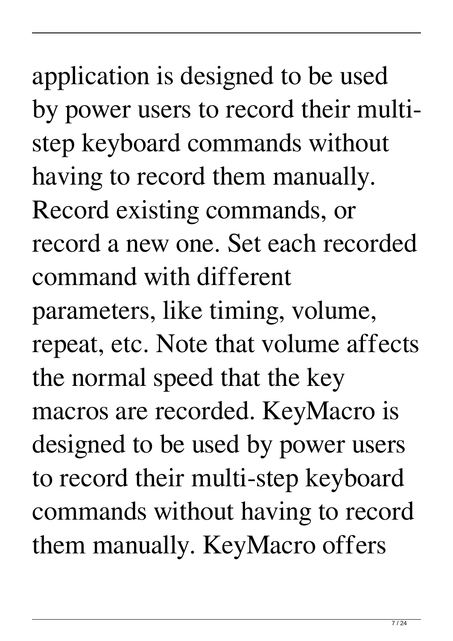application is designed to be used by power users to record their multistep keyboard commands without having to record them manually. Record existing commands, or record a new one. Set each recorded command with different parameters, like timing, volume, repeat, etc. Note that volume affects the normal speed that the key macros are recorded. KeyMacro is designed to be used by power users to record their multi-step keyboard commands without having to record them manually. KeyMacro offers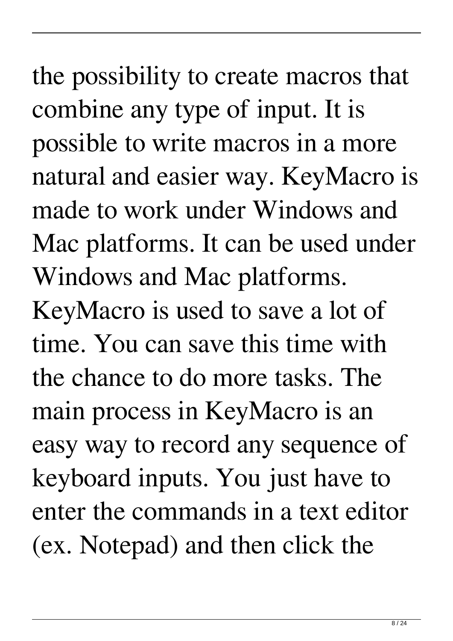the possibility to create macros that combine any type of input. It is possible to write macros in a more natural and easier way. KeyMacro is made to work under Windows and Mac platforms. It can be used under Windows and Mac platforms.

KeyMacro is used to save a lot of time. You can save this time with the chance to do more tasks. The main process in KeyMacro is an easy way to record any sequence of keyboard inputs. You just have to enter the commands in a text editor (ex. Notepad) and then click the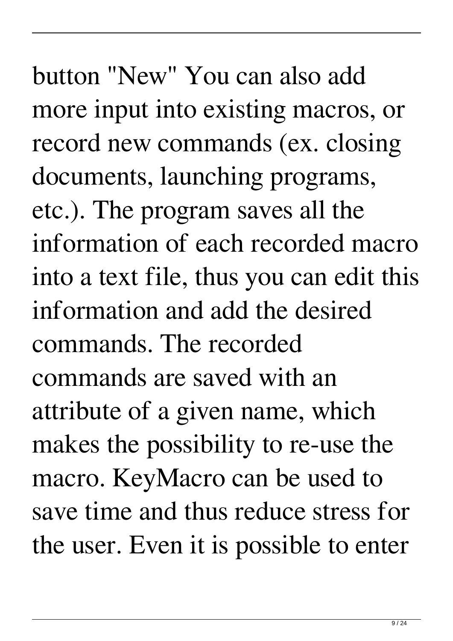more input into existing macros, or record new commands (ex. closing documents, launching programs, etc.). The program saves all the information of each recorded macro into a text file, thus you can edit this information and add the desired commands. The recorded commands are saved with an attribute of a given name, which makes the possibility to re-use the macro. KeyMacro can be used to save time and thus reduce stress for the user. Even it is possible to enter

button "New" You can also add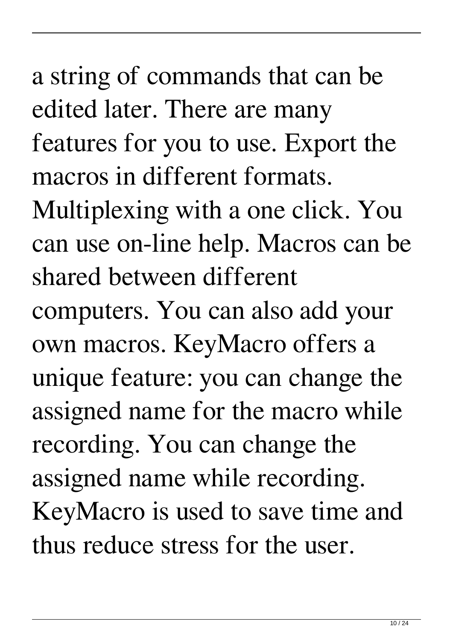a string of commands that can be edited later. There are many features for you to use. Export the macros in different formats. Multiplexing with a one click. You can use on-line help. Macros can be shared between different computers. You can also add your own macros. KeyMacro offers a unique feature: you can change the assigned name for the macro while recording. You can change the assigned name while recording. KeyMacro is used to save time and thus reduce stress for the user.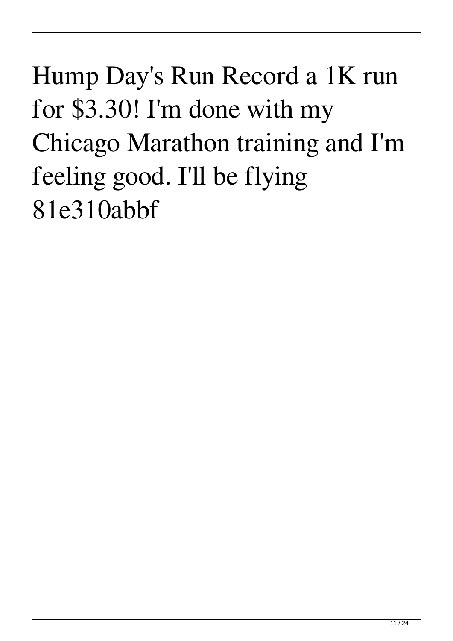Hump Day's Run Record a 1K run for \$3.30! I'm done with my Chicago Marathon training and I'm feeling good. I'll be flying 81e310abbf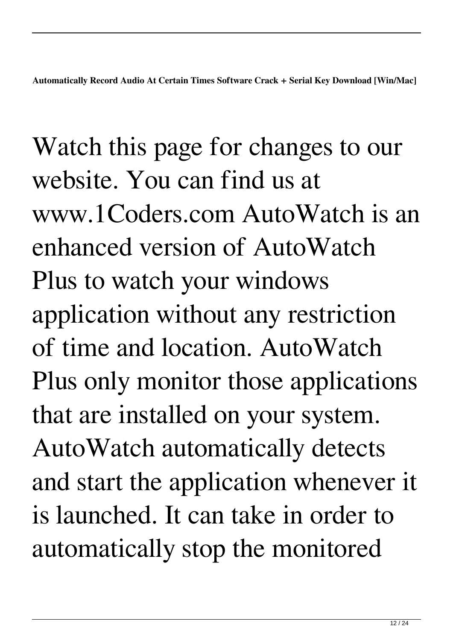**Automatically Record Audio At Certain Times Software Crack + Serial Key Download [Win/Mac]**

Watch this page for changes to our website. You can find us at www.1Coders.com AutoWatch is an enhanced version of AutoWatch Plus to watch your windows application without any restriction of time and location. AutoWatch Plus only monitor those applications that are installed on your system. AutoWatch automatically detects and start the application whenever it is launched. It can take in order to automatically stop the monitored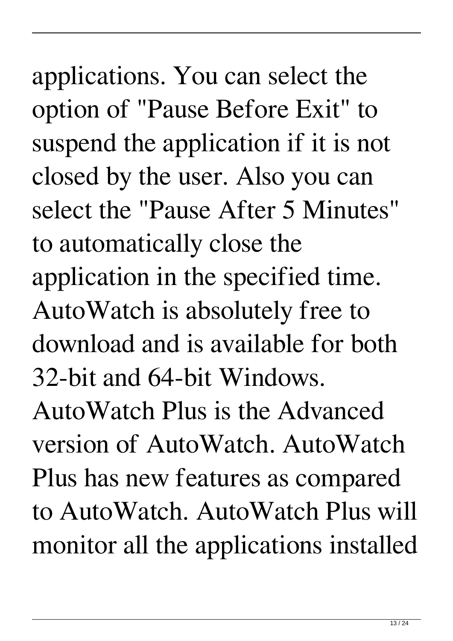applications. You can select the option of "Pause Before Exit" to suspend the application if it is not closed by the user. Also you can select the "Pause After 5 Minutes" to automatically close the application in the specified time. AutoWatch is absolutely free to download and is available for both 32-bit and 64-bit Windows.

AutoWatch Plus is the Advanced version of AutoWatch. AutoWatch Plus has new features as compared to AutoWatch. AutoWatch Plus will monitor all the applications installed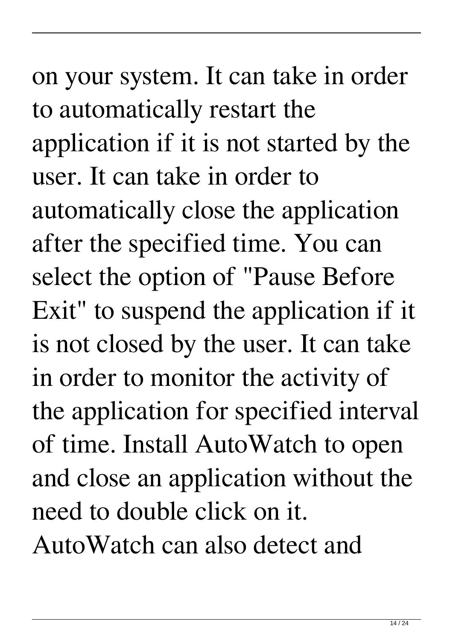on your system. It can take in order to automatically restart the application if it is not started by the user. It can take in order to automatically close the application after the specified time. You can select the option of "Pause Before Exit" to suspend the application if it is not closed by the user. It can take in order to monitor the activity of the application for specified interval of time. Install AutoWatch to open and close an application without the need to double click on it. AutoWatch can also detect and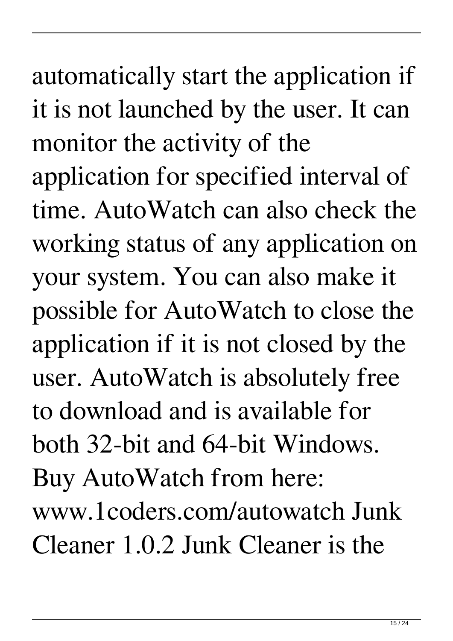automatically start the application if it is not launched by the user. It can monitor the activity of the application for specified interval of time. AutoWatch can also check the working status of any application on your system. You can also make it possible for AutoWatch to close the application if it is not closed by the user. AutoWatch is absolutely free to download and is available for both 32-bit and 64-bit Windows. Buy AutoWatch from here: www.1coders.com/autowatch Junk Cleaner 1.0.2 Junk Cleaner is the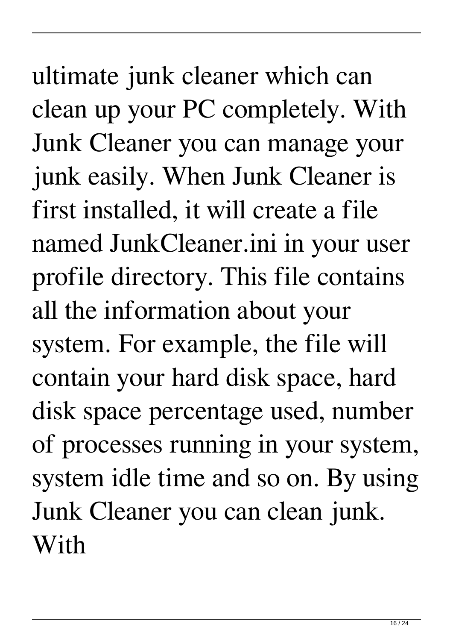## ultimate junk cleaner which can clean up your PC completely. With Junk Cleaner you can manage your junk easily. When Junk Cleaner is first installed, it will create a file named JunkCleaner.ini in your user profile directory. This file contains all the information about your system. For example, the file will contain your hard disk space, hard disk space percentage used, number of processes running in your system, system idle time and so on. By using Junk Cleaner you can clean junk. With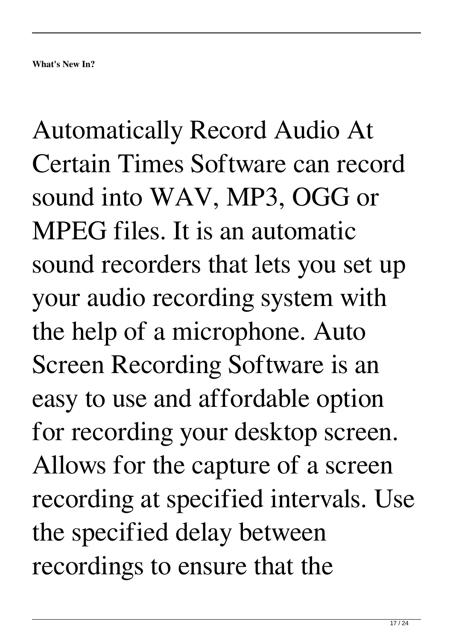Automatically Record Audio At Certain Times Software can record sound into WAV, MP3, OGG or MPEG files. It is an automatic sound recorders that lets you set up your audio recording system with the help of a microphone. Auto Screen Recording Software is an easy to use and affordable option for recording your desktop screen. Allows for the capture of a screen recording at specified intervals. Use the specified delay between recordings to ensure that the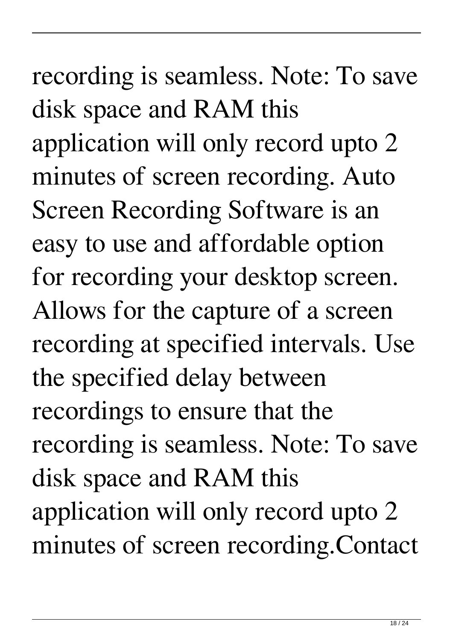# recording is seamless. Note: To save disk space and RAM this application will only record upto 2 minutes of screen recording. Auto Screen Recording Software is an easy to use and affordable option

for recording your desktop screen. Allows for the capture of a screen recording at specified intervals. Use the specified delay between recordings to ensure that the recording is seamless. Note: To save disk space and RAM this application will only record upto 2 minutes of screen recording.Contact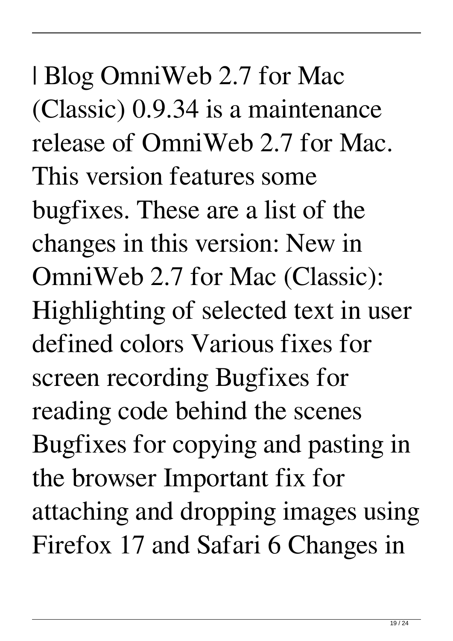| Blog OmniWeb 2.7 for Mac (Classic) 0.9.34 is a maintenance release of OmniWeb 2.7 for Mac. This version features some bugfixes. These are a list of the changes in this version: New in OmniWeb 2.7 for Mac (Classic): Highlighting of selected text in user defined colors Various fixes for screen recording Bugfixes for reading code behind the scenes Bugfixes for copying and pasting in the browser Important fix for attaching and dropping images using Firefox 17 and Safari 6 Changes in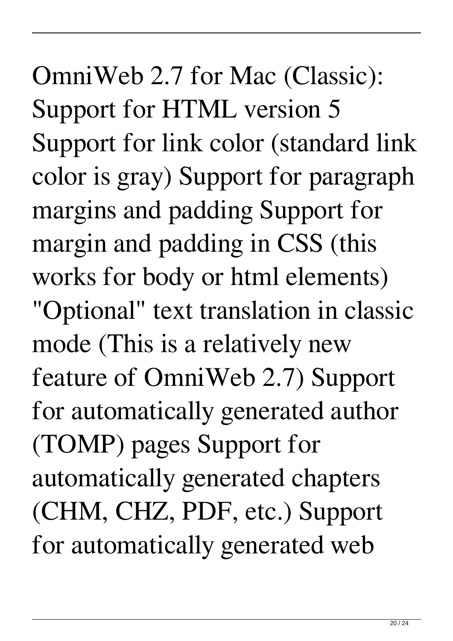OmniWeb 2.7 for Mac (Classic): Support for HTML version 5 Support for link color (standard link color is gray) Support for paragraph margins and padding Support for margin and padding in CSS (this works for body or html elements) "Optional" text translation in classic mode (This is a relatively new feature of OmniWeb 2.7) Support for automatically generated author (TOMP) pages Support for automatically generated chapters (CHM, CHZ, PDF, etc.) Support for automatically generated web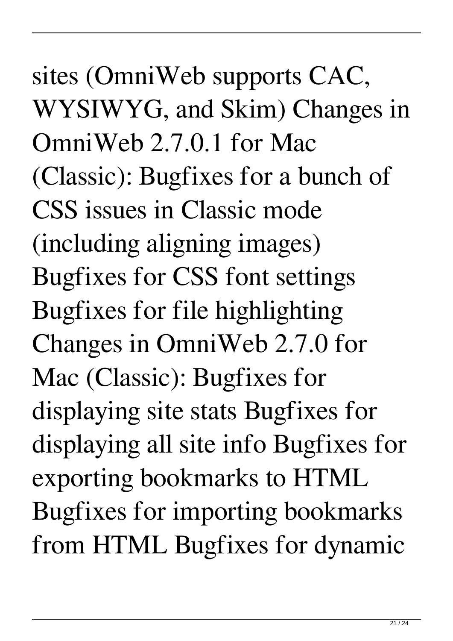sites (OmniWeb supports CAC, WYSIWYG, and Skim) Changes in OmniWeb 2.7.0.1 for Mac (Classic): Bugfixes for a bunch of CSS issues in Classic mode (including aligning images) Bugfixes for CSS font settings Bugfixes for file highlighting Changes in OmniWeb 2.7.0 for Mac (Classic): Bugfixes for displaying site stats Bugfixes for displaying all site info Bugfixes for exporting bookmarks to HTML Bugfixes for importing bookmarks from HTML Bugfixes for dynamic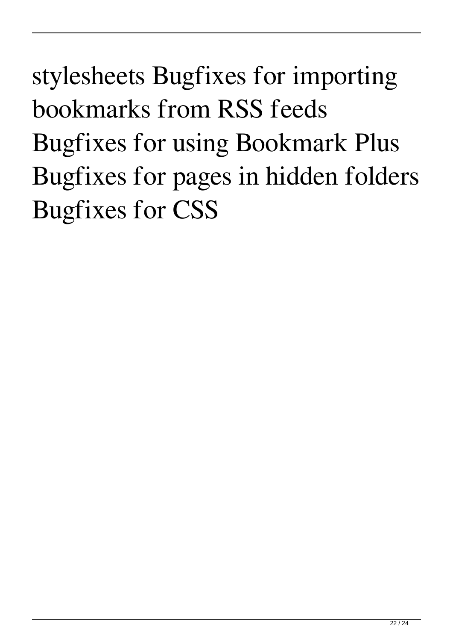stylesheets Bugfixes for importing bookmarks from RSS feeds Bugfixes for using Bookmark Plus Bugfixes for pages in hidden folders Bugfixes for CSS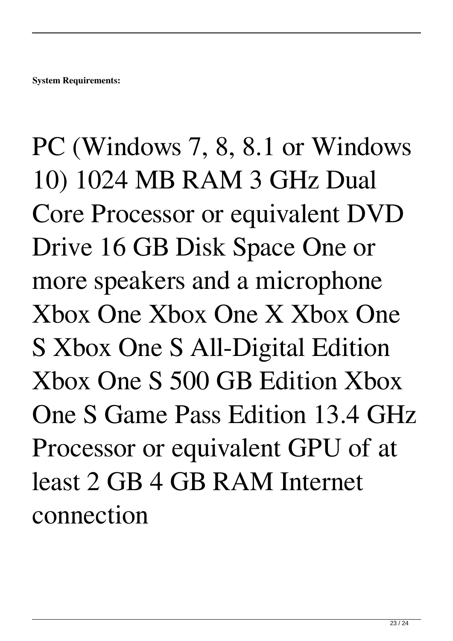PC (Windows 7, 8, 8.1 or Windows 10) 1024 MB RAM 3 GHz Dual Core Processor or equivalent DVD Drive 16 GB Disk Space One or more speakers and a microphone Xbox One Xbox One X Xbox One S Xbox One S All-Digital Edition Xbox One S 500 GB Edition Xbox One S Game Pass Edition 13.4 GHz Processor or equivalent GPU of at least 2 GB 4 GB RAM Internet connection